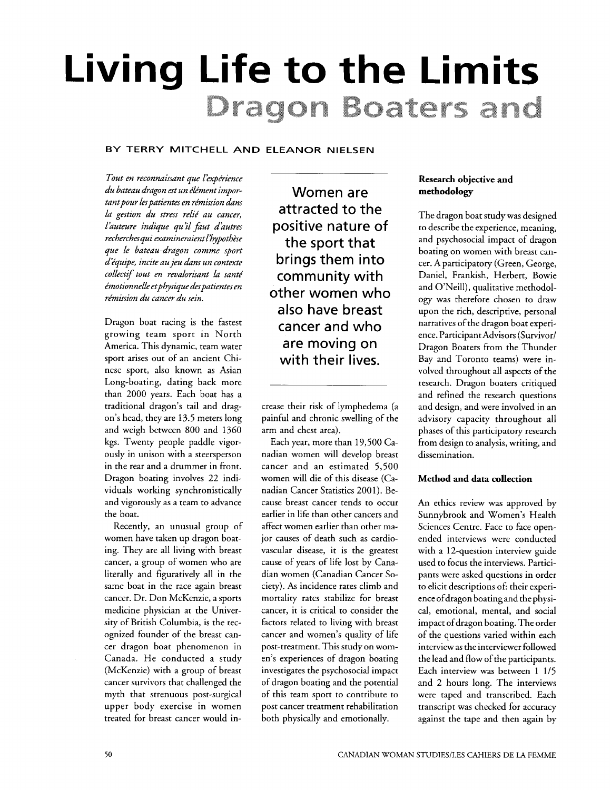# **Living Life to the Limits**  Dragon Boaters and

#### **BY TERRY MITCHELL AND ELEANOR NIELSEN**

*Tout en reconnaissant que l'expérience* du bateau dragon est un élément impor*tant pour les patientes en rémission dans* la gestion du stress relié au cancer, *l'auteure indique qu'il faut d'autres*  $recherches qui examineraient l'hypothèse$ *que le bateau-dragon comme sport*   $d$ <sup>2</sup>équipe, incite au jeu dans un contexte *colhctif tout en revahrisant* kz *sante'*   $emotion$ elle et physique des patientes en rémission du cancer du sein.

Dragon boat racing is the fastest growing team sport in North America. This dynamic, team water sport arises out of an ancient Chinese sport, also known as Asian Long-boating, dating back more than 2000 years. Each boat has a traditional dragon's tail and dragon's head, they are 13.5 meters long and weigh between 800 and 1360 kgs. Twenty people paddle vigorously in unison with a steersperson in the rear and a drummer in front. Dragon boating involves 22 individuals working synchronistically and vigorously as a team to advance the boat.

Recently, an unusual group of women have taken up dragon boating. They are all living with breast cancer, a group of women who are literally and figuratively all in the same boat in the race again breast cancer. Dr. Don McKenzie, a sports medicine physician at the University of British Columbia, is the recognized founder of the breast cancer dragon boat phenomenon in Canada. He conducted a study (McKenzie) with a group of breast cancer survivors that challenged the myth that strenuous post-surgical upper body exercise in women treated for breast cancer would in-

Women are attracted to the positive nature of the sport that brings them into community with other women who also have breast cancer and who are moving on with their lives.

crease their risk of lymphedema (a painful and chronic swelling of the arm and chest area).

Each year, more than 19,500 Canadian women will develop breast cancer and an estimated 5,500 women will die of this disease (Canadian Cancer Statistics 2001). Because breast cancer tends to occur earlier in life than other cancers and affect women earlier than other major causes of death such as cardiovascular disease, it is the greatest cause of years of life lost by Canadian women (Canadian Cancer Society). **As** incidence rates climb and mortality rates stabilize for breast cancer, it is critical to consider the factors related to living with breast cancer and women's quality of life post-treatment. This study on women's experiences of dragon boating investigates the psychosocial impact of dragon boating and the potential of this team sport to contribute to post cancer treatment rehabilitation both physically and emotionally.

#### **Research objective and methodology**

The dragon boat study was designed to describe the experience, meaning, and psychosocial impact of dragon boating on women with breast cancer. A participatory (Green, George, Daniel, Frankish, Herbert, Bowie and O'Neill), qualitative methodology was therefore chosen to draw upon the rich, descriptive, personal narratives of the dragon boat experience. Participant Advisors (Survivor/ Dragon Boaters from the Thunder Bay and Toronto teams) were involved throughout all aspects of the research. Dragon boaters critiqued and refined the research questions and design, and were involved in an advisory capacity throughout all phases of this participatory research from design to analysis, writing, and dissemination.

#### **Method and data collection**

An ethics review was approved by Sunnybrook and Women's Health Sciences Centre. Face to face openended interviews were conducted with a 12-question interview guide used to focus the interviews. Participants were asked questions in order to elicit descriptions of: their experience ofdragon boating and the physical, emotional, mental, and social impact of dragon boating. The order of the questions varied within each interview as the interviewer followed the lead and flow of the participants. Each interview was between 1 1/5 and 2 hours long. The interviews were taped and transcribed. Each transcript was checked for accuracy against the tape and then again by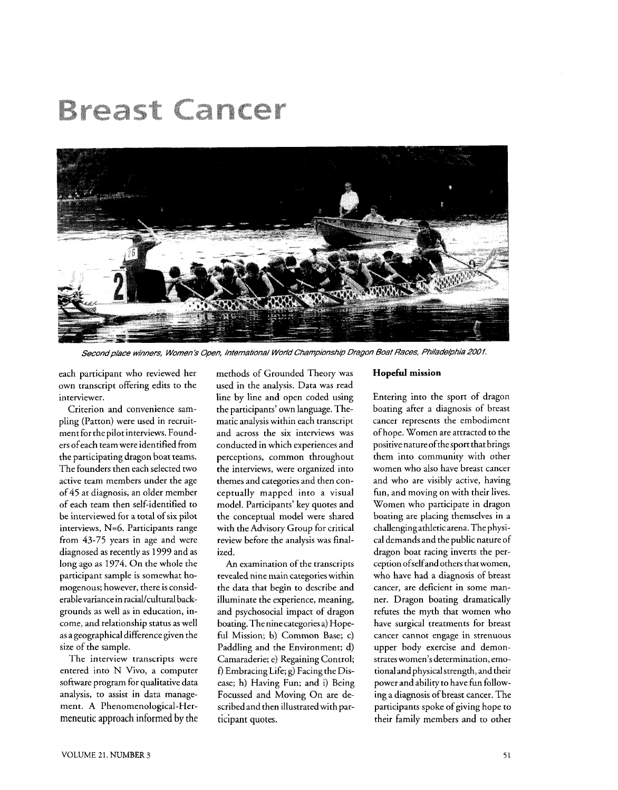## Breast Cancer



Second place winners, Women's Open, International World Championship Dragon Boat Races, Philadelphia 2001.

each participant who reviewed her own transcript offering edits to the interviewer.

Criterion and convenience sampling (Patton) were used in recruitment for the pilot interviews. Founders of each team were identified from the participating dragon boat teams. The founders then each selected two active team members under the age of *45* at diagnosis, an older member of each team then self-identified to be interviewed for a total of six pilot interviews, N=6. Participants range from *43-75* years in age and were diagnosed as recently as 1999 and as long ago as *1974.* On the whole the participant sample is somewhat homogenous; however, there is considerablevariance in racial/cultural backgrounds as well as in education, income, and relationship status as well as a geographical difference given the size of the sample.

The interview transcripts were entered into N Vivo, a computer software program for qualitative data analysis, to assist in data management. A Phenomenological-Hermeneutic approach informed by the methods of Grounded Theory was used in the analysis. Data was read line by line and open coded using the participants' own language. Thematic analysis within each transcript and across the six interviews was conducted in which experiences and perceptions, common throughout the interviews, were organized into themes and categories and then con-<br>ceptually mapped into a visual model. Participants' key quotes and the conceptual model were shared with the Advisory Group for critical review before the analysis was finalized.

An examination of the transcripts revealed nine main categories within the data that begin to describe and illuminate the experience, meaning, and psychosocial impact of dragon boating. The nine categories a) Hopeful Mission; b) Common Base; c) Paddling and the Environment; d) Camaraderie; e) Regaining Control; **f)** Embracing Life; g) Facing the Disease; h) Having Fun; and i) Being Focussed and Moving On are described and then illustrated with participant quotes.

#### **Hopeful mission**

Entering into the sport of dragon boating after a diagnosis of breast cancer represents the embodiment ofhope. Women are attracted to the positive nature of the sport that brings them into community with other women who also have breast cancer and who are visibly active, having fun, and moving on with their lives. Women who participate in dragon boating are placing themselves in a challenging athletic arena. The physical demands and the public nature of dragon boat racing inverts the perception ofselfand others that women, who have had a diagnosis of breast cancer, are deficient in some manner. Dragon boating dramatically refutes the myth that women who have surgical treatments for breast cancer cannot engage in strenuous upper body exercise and demonstrates women's determination, emotional and physical strength, and their power and ability to have fun following a diagnosis of breast cancer. The participants spoke of giving hope to their family members and to other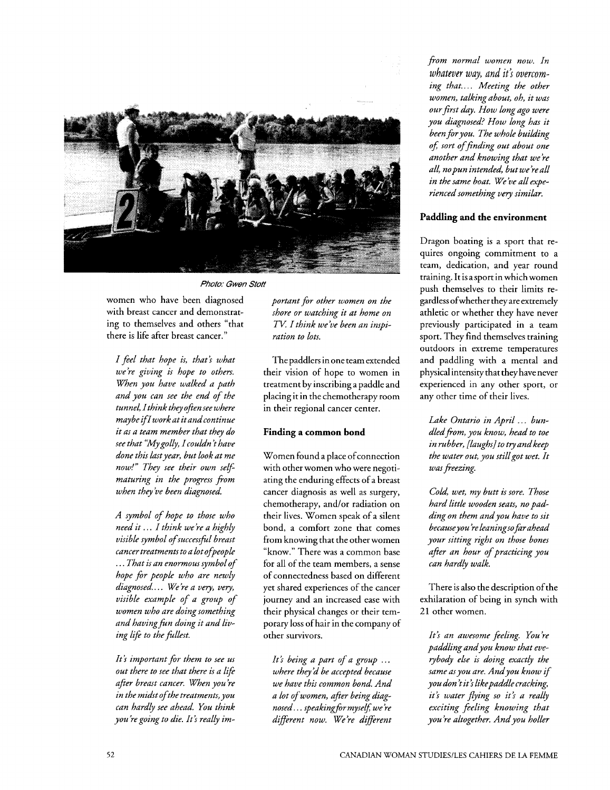

Photo: Gwen Stott

women who have been diagnosed with breast cancer and demonstrating to themselves and others "that there is life after breast cancer."

*I* feel *that hope is, that? what we're giving is hope to others. When you have walked a path and you can see the end of the tunnel, Ithink they ofien see where maybe iflworkatitandcontinue* . . *it as a team member that they do see that "Mygolly, I couldn t have done this lastyear, but look at me now!" They see their own selfmaturing in the progress fiom when they ire been diagnosed.* 

*A symbol of hope to those who need it* . . . *I think we 're a highly*   $visible$  symbol of successful breast *cancer treatments to a lot of people*  . . . *That is an enormous symbolof hope for people who are newly diagnosed..* . . *We 're a very, very, visible example of a group of*   $w$ omen who are doing something and having fun doing it and liv*ing life to the fullest.* 

*It? important for them to see us out there to see that there is a life afier breast cancer. When you 're in the midst ofthe treatments, you can hardly see ahead. You think you're going to die. It's really im-* *portant for other women on the shore or watching it at home on TV: I think we ire been an inspiration to lots.* 

The paddlers in one team extended their vision of hope to women in treatment by inscribing a paddle and placing it in the chemotherapy room in their regional cancer center.

#### **Finding a common bond**

Women found a place of connection with other women who were negotiating the enduring effects of a breast cancer diagnosis as well as surgery, chemotherapy, and/or radiation on their lives. Women speak of a silent bond, a comfort zone that comes from knowing that the other women "know." There was a common base for all of the team members, a sense of connectedness based on different yet shared experiences of the cancer journey and an increased ease with their physical changes or their temporary loss of hair in the company of other survivors.

It's being a part of a group ... *where they'd be accepted because we have this common bond. And a lot of women, afir being diagnosed... speaking for myself, we're*  $d$ *ifferent now. We're different* 

*fiom normal women now. In whatever way, and it? overcom*ing that.... Meeting the other *women, talkingabout, oh, it was our first day. How long ago were you diagnosed? How long has it been foryou. The whole building oJ sort offinding out about one another and knowing that we 're all, nopun intended, butwe'reall in the same boat. We ire all experienced something very similar.* 

#### **Paddling and the environment**

Dragon boating is a sport that requires ongoing commitment to a team, dedication, and year round training. It is asport in which women push themselves to their limits regardless ofwhether they are extremely athletic or whether they have never previously participated in a team sport. They find themselves training outdoors in extreme temperatures and paddling with a mental and physical intensity that they have never experienced in any other sport, or any other time of their lives.

Lake Ontario in April ... bun*dledfiom, you know, head to toe in rubber, [laughs] to try and keep the water out, you stillgot wet. It*  was freezing.

*Cold, wet, my butt is sore. Those hard little wooden seats, no padding on them andyou have to sit becauseyou 're leaningsofar ahead your sitting right on those bones afier an hour of practicing you can hardly walk.* 

There is also the description of the exhilaration of being in synch with 21 other women.

*It? an awesome feeling. You 're paddlingandyou know that everybody else is doing exactly the same asyou are. Andyou know* **if**  *you don tit i likepaddle cracking, it* **j** *water jying so it? a really exciting feeling knowing that you're altogether. And you holler*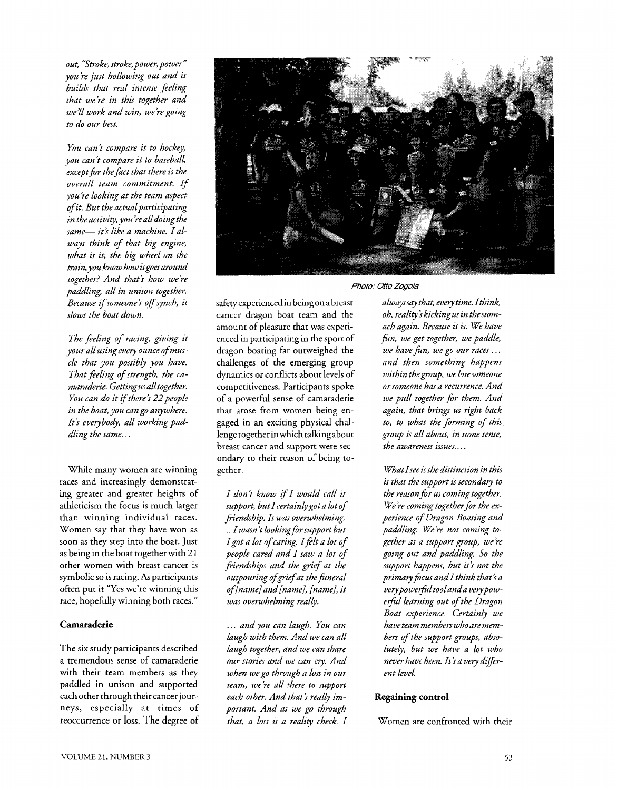*out, "Stroke, stroke, power, power" you're just hollowing out and it builds that real intense feeling that we're in this together and we'll work and win, we 're going to do our best.* 

*You can* 't *compare it to hockey, you cant compare it to baseball, exceptfor the fact that there is the overall team commitment. If you 're looking at the team aspect of it. But the actualparticipating in the activity, you 're alldoing the*  same- it's like a machine. I al*ways think of that big engine, what is it, the big wheel on the train, you know how itgoesaround together? And that's how we're*  $p$ addling, all in unison together. *Because* **zf** *someone* ? *off synch, it slows the boat down.* 

*The feeling of racing, giving it your all usingevery ounce ofmuscle that you possibly you have. That feeling of strength, the ca* $m$ araderie. Getting us all together. *You can do it ifthere? 22people in the boat, you cango anywhere. It? everybody, all working paddling the same..* .

While many women are winning races and increasingly demonstrating greater and greater heights of athleticism the focus is much larger than winning individual races. Women say that they have won as soon as they step into the boat. Just as being in the boat together with 21 other women with breast cancer is symbolic so is racing. **As** participants often put it "Yes we're winning this race, hopefully winning both races."

#### **Camaraderie**

The six study participants described a tremendous sense of camaraderie with their team members as they paddled in unison and supported each other through their cancer journeys, especially at times of reoccurrence or loss. The degree of



Photo: Otto Zogola

safety experienced in being on a breast cancer dragon boat team and the amount of pleasure that was experienced in participating in the sport of dragon boating far outweighed the challenges of the emerging group dynamics or conflicts about levels of competitiveness. Participants spoke of a powerful sense of camaraderie that arose from women being engaged in an exciting physical challenge together in which talkingabout breast cancer and support were secondary to their reason of being together.

*I don t know \$I would call it support, but Icertainlygot a lot of friendship. It was overwhelming.*  .. *I warn t lookingforsupport but Igot a lot of caring. Ifet a lot of people cared and I saw a lot of \$iendships and the grief at the outpouring ofgriefat the fineral of[nameJand[name], [name], it was overwhelming really.* 

. . . *and you can laugh. You can laugh with them. And we can all laugh together, and we can share our stories and we can cry. And when wego through a loss in our team, we're all there to support each other. And that? really important. And as we go through that, a loss is a reality check. I* 

*always say that, every time. Ithink, oh, reality* i *kicking us in thestomach again. Because it is. We have fin, we get together, we paddle, we have fin, we go our races* . . . *and then something happens within thegroup, we losesomeone or someone has a recurrence. And we pull together for them. And again, that brings us right back to, to what the forming of this group is all about, in some sense, the awareness issues..* . .

*What Isee is thedistinction in this is that the support is secondary to the reason for us coming together.*  We're coming together for the ex*perience of Dragon Boating and paddling. We're not coming together as a support group, we're going out and paddling. So the support happens, but it? not the primaryfocus and I think that? a*  very powerful tool and a very pow $erful$  *learning out of the Dragon Boat experience. Certainly we have team members who are members of the support groups, absolutely, but we have a lot who never have been. It? a very dzfferent level.* 

#### **Regaining control**

Women are confronted with their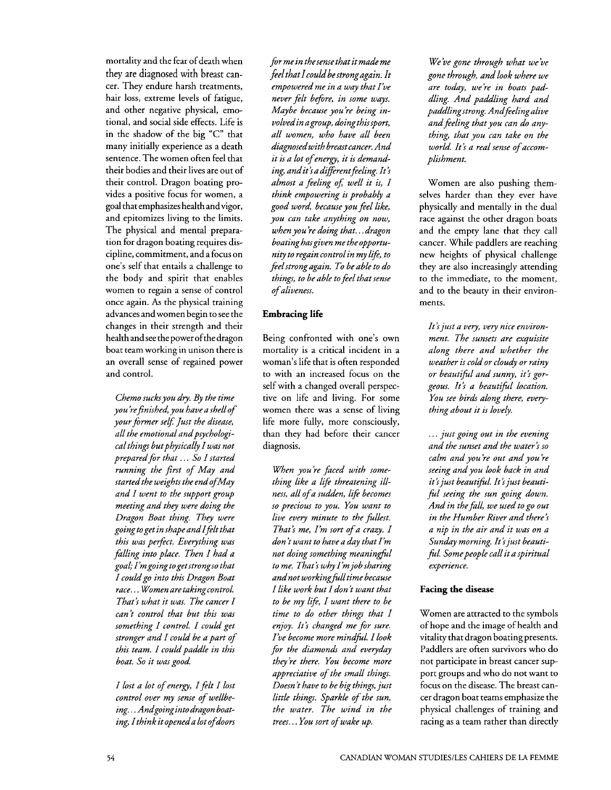mortality and the fear of death when they are diagnosed with breast cancer. They endure harsh treatments, hair loss, extreme levels of fatigue, and other negative physical, emotional, and social side effects. Life is in the shadow of the big "C" that many initially experience as a death sentence. The women often feel that their bodies and their lives are out of their control. Dragon boating provides a positive focus for women, a goal that emphasizes health andvigor, and epitomizes living to the limits. The physical and mental preparation for dragon boating requires discipline, commitment, and a focus on one's self that entails a challenge to the body and spirit that enables women to regain a sense of control once again. **As** the physical training advances and women begin to see the changes in their strength and their health andsee the power ofthe dragon boat team working in unison there is an overall sense of regained power and control.

*Chemo sucks you dry. By the time you 'refinished, you have a shell of your former self: Just the disease,*  all the emotional and psychologi*cal things but physically I was not prepared for that* . . . *So I started running the first of May and started the weights the end ofMay and I went to the support group meeting and they were doing the Dragon Boat thing. They were going toget in shapeandIflt that this was perfect. Everything was falling into place. Then I had a goak I'mgoingtogetstrongso that I could go into this Dragon Boat race..* . *Women are takingcontrol. That? what it was. The cancer I can't control that but this was something I control. I could get stronger and I could be a part of this team. I could paddle in this boat. So it was good.* 

*I lost a lot of energy, Iflt I lost control over my sense of wellbeing.* . . *Andgoing into dragon boating, Ithinkitopeneda lot ofdoors*  *for me in the sense that it made me feel that Icould be strongagain. It empowered me in a way that I've never felt before, in some ways. Maybe because you 're being involvedin agroup, doingthissport, all women, who have all been diagnosedwith breastcancer. And it is a lot of energy, it is demanding, andit? a dtfferentfeeling. It* ? *almost a feeling 05 well it is, I think empowering is probably a good word, because you* feel *like, you can take anything on now, when you're doing that.* . *.dragon boating hasgiven me the opportunity to regain controlin my life, to feelstrong again. To be able to do things, to be able to* feel *that sense of aliveness.* 

#### **Embracing life**

Being confronted with one's own mortality is a critical incident in a woman's life that is often responded to with an increased focus on the self with a changed overall perspective on life and living. For some women there was a sense of living life more fully, more consciously, than they had before their cancer diagnosis.

*When you're faced with something like a life threatening illness, all of a sudden, life becomes so precious to you. You want to live every minute to the fillest. That's me, I'm sort of a crazy. I don* 't *want to have a day that I'm not doing something meaningful to me. That? why I'm job sharing andnot working&lltime because I like work but I don't want that to be my life, I want there to be time to do other things that I enjoy. It? changed me for sure. I've become more mindfil. Ilook for the diamonds and everyday they're there. You become more appreciative of the small things. Doesn* 't *have to be big things, just little things. Sparkle of the sun, the water. The wind in the trees..* . *You sort of wake up.* 

*We've gone through what we've gone through, and look where we are today, we're in boats paddling. And paddling hard and paddling strong. Andfeling alive and feeing that you can do anything, that you can take on the world. It? a real sense of accomplishment.* 

Women are also pushing themselves harder than they ever have physically and mentally in the dual race against the other dragon boats and the empty lane that they call cancer. While paddlers are reaching new heights of physical challenge they are also increasingly attending to the immediate, to the moment, and to the beauty in their environments.

It's just a very, very nice environ*ment. The sunsets are exquisite along there and whether the weather is cold or cloudy or rainy or beautzfil and sunny, it? gorgeous. It? a beautzfil location. You see birds along there, everything about it is lovely.* 

. . . *just going out in the evening and the sunset and the water? so calm and you 're out and you're seeing and you look back in and it? just beautz&l. It* ? *just beauti*  ful seeing the sun going down. *And in the fall, we used to go out in the Humber River and there* ? *a nip in the air and it was on a Sunday morning. It? just beautifil. Some people call it a spiritual experience.* 

#### **Facing the disease**

Women are attracted to the symbols of hope and the image of health and vitality that dragon boating presents. Paddlers are often survivors who do not participate in breast cancer support groups and who do not want to focus on the disease. The breast cancer dragon boat teams emphasize the physical challenges of training and racing as a team rather than directly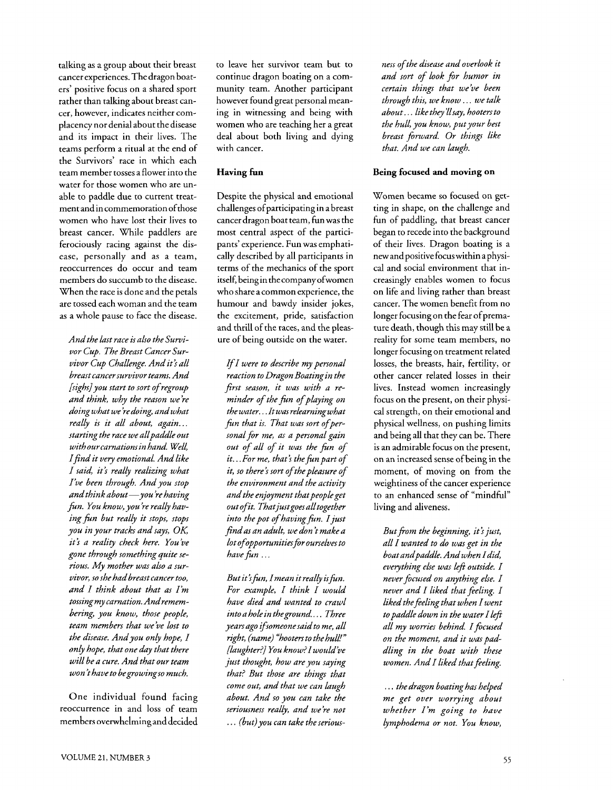talking as a group about their breast cancer experiences. The dragon boaters' positive focus on a shared sport rather than talking about breast cancer, however, indicates neither complacency nor denial about the disease and its impact in their lives. The teams perform a ritual at the end of the Survivors' race in which each team member tosses a flower into the water for those women who are unable to paddle due to current treatment and in commemoration of those women who have lost their lives to breast cancer. While paddlers are ferociously racing against the disease, personally and as a team, reoccurrences do occur and team members do succumb to the disease. When the race is done and the petals are tossed each woman and the team as a whole pause to face the disease.

*And the last race is also the Suwivor Cup. The Breast Cancer Survivor Cup Challenge. And it? all breastcancersuwivor teams. And (sighs] you start to sort of regroup and think, why the reason we're doing what we 're doing, andwhat really is it all about, again..* . *starting the race we allpaddle out with our carnations in hand. Well, Ifind it vey emotional. And like I said, it? really realizing what I've been through. Andyou stop andthink about-you* 're *having*  fun. You know, you're really hav*ing fin but really it stops, stops you in your tracks and says, OK*  it's a reality check here. You've *gone through something quite serious. My mother was also a survivor, so she had breast cancer too, and I think about that as I'm tossing my carnation. Andremembering, you know, those people, team members that we've lost to the disease. Andyou only hope, I only hope, that one dzy that there will be a cure. And that our team won thave to begrowingso much.* 

One individual found facing reoccurrence in and loss of team members overwhelming and decided

to leave her survivor team but to continue dragon boating on a community team. Another participant however found great personal meaning in witnessing and being with women who are teaching her a great deal about both living and dying with cancer.

#### **Having fun**

Despite the physical and emotional challenges of participating in a breast cancer dragon boat team, fun was the most central aspect of the participants' experience. Fun was emphatically described by all participants in terms of the mechanics of the sport itself, being in the company ofwomen who share a common experience, the humour and bawdy insider jokes, the excitement, pride, satisfaction and thrill of the races, and the pleasure of being outside on the water.

*If I were to describe my personal reaction to Dragon Boatingin the first season, it was with a reminder of the fun of playing on the water.* . *.It was relearning what*  fun that is. That was sort of per*sonal for me, as a personal gain out of all of it was the fin of it.. .For me, that's thefin part of it, so there? sort of the pleasure of the environment and the activity and the enjoyment that people get out ofit. Thatjustgoes alltogether into the pot of having fin. I just find as an adult, we don t make a lot ofopportunitiesfor ourselves to have fin* . . .

*But it's fun, I mean it really is fun. For example, I think I would have died and wanted to crawl intoa holein theground...* .. *Three years ago ifsomeonesaid to me, all right, (name) "hooters to the hulLf* " *(laughter?/ You know?Iwould've just thought, how are you saying that? But those are things that come out, and that we can laugh about. And so you can take the seriousness really, and we're not*  . . . *(but) you can take the serious-* *ness of the disease and overlook it and sort of look for humor in certain things that we've been through this, we know..* . *we talk about.* . . *like they 'hay, hooters to the hull, you know, putyour best breast forward. Or things like that. And we can Inugh.* 

#### **Being focused and moving on**

Women became so focused on getting in shape, on the challenge and fun of paddling, that breast cancer began to recede into the background of their lives. Dragon boating is a new and positive focus within a physical and social environment that increasingly enables women to focus on life and living rather than breast cancer. The women benefit from no longer focusing on the fear of premature death, though this may still be a reality for some team members, no longer focusing on treatment related losses, the breasts, hair, fertility, or other cancer related losses in their lives. Instead women increasingly focus on the present, on their physical strength, on their emotional and physical wellness, on pushing limits and being all that they can be. There is an admirable focus on the present, on an increased sense of being in the moment, of moving on from the weightiness of the cancer experience to an enhanced sense of "mindful" living and aliveness.

*But from the beginning, it's just, all I wanted to do was get in the boat andpaddle. And when Idid, eveything else was left outside. I never focused on anything else. I never and I liked that feeling. I liked the feeling that when I went topaddle down in the water Ileft all my worries behind. Ifocused on the moment, and it waspaddling in the boat with these women. And I liked that feeling.* 

. . . *the dragon boating has helped me get over worrying about whether I'm going to have lymphodema or not. You know,*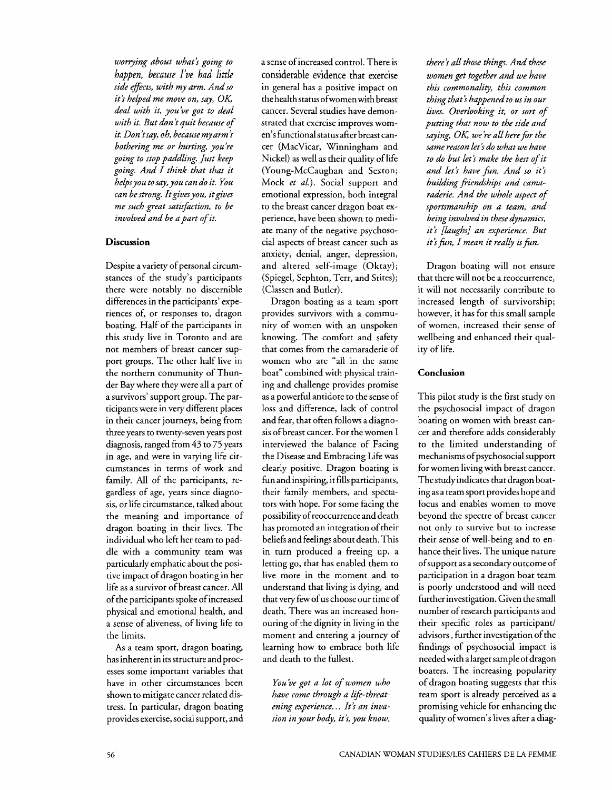*worrying dbout what? going to happen, because* **I've** *had little side efects, with my arm. And so it? helped me move on, say, OK; deal with it, you've got to deal with it. But don t quit because of it. Don 'tsay, oh, because my arm* ? *bothering me or hurting, you're going to stop paddling. Just keep going. And I think that that it helpsyou to say, you can do it. You can be strong. Itgives you, itgives me such great satisfction, to be involved and be a part of it.* 

#### **Discussion**

Despite a variety of personal circumstances of the study's participants there were notably no discernible differences in the participants' experiences of, or responses to, dragon boating. Half of the participants in this study live in Toronto and are not members of breast cancer support groups. The other half live in the northern community of Thunder Bay where they were all a part of a survivors' support group. The participants were in very different places in their cancer journeys, being from three years to twenty-seven years post diagnosis, ranged from 43 to 75 years in age, and were in varying life circumstances in terms of work and family. All of the participants, regardless of age, years since diagnosis, or life circumstance, talked about the meaning and importance of dragon boating in their lives. The individual who left her team to paddle with a community team was particularly emphatic about the positive impact of dragon boating in her life as a survivor of breast cancer. All of the participants spoke of increased physical and emotional health, and a sense of aliveness, of living life to the limits.

**As** a team sport, dragon boating, has inherent in its structure and processes some important variables that have in other circumstances been shown to mitigate cancer related dis- tress. In particular, dragon boating provides exercise, social support, and a sense of increased control. There is considerable evidence that exercise in general has a positive impact on the healthstatus ofwomen with breast cancer. Several studies have demonstrated that exercise improves women's functional status after breast cancer (Macvicar, Winningham and Nickel) as well as their quality of life (Young-McCaughan and Sexton; Mock *et al.).* Social support and emotional expression, both integral to the breast cancer dragon boat experience, have been shown to mediate many of the negative psychosocial aspects of breast cancer such as anxiety, denial, anger, depression, and altered self-image (Oktay); (Spiegel, Sephton, Terr, and Stites); (Classen and Butler).

Dragon boating as a team sport provides survivors with a community of women with an unspoken knowing. The comfort and safety that comes from the camaraderie of women who are "all in the same boat" combined with physical training and challenge provides promise as a powerful antidote to the sense of loss and difference, lack of control and fear, that often follows a diagno- sis of breast cancer. For the women I interviewed the balance of Facing the Disease and Embracing Life was clearly positive. Dragon boating is fun and inspiring, it fills participants, their family members, and spectators with hope. For some facing the possibility of reoccurrence and death has promoted an integration of their beliefs and feelings about death. This in turn produced a freeing up, a letting go, that has enabled them to live more in the moment and to understand that living is dying, and that very few of us choose our time of death. There was an increased honouring of the dignity in living in the moment and entering a journey of learning how to embrace both life and death to the fullest.

*You 've got a lot of women who have come through a life-threatening experience..* . *It? an invasion in your body, it's, you know,* 

*there* **j** *all those things. And these women get together and we hdve this commonality, this common thing that? happened to us in our lives. Overlooking it, or sort of putting that now to the side and saying, OK; we 're all here for the same reason let? do what we have to do but let? make the best of it and let? have fin. And so it?*  building friendships and cama*raderie. And the whole aspect of sportsmanship on a team, and being involved in these dynamics, it? [laughs] an experience. But it?fin, I mean it really is fin.* 

Dragon boating will not ensure that there will not be a reoccurrence, it will not necessarily contribute to increased length of survivorship; however, it has for this small sample of women, increased their sense of wellbeing and enhanced their quality of life.

#### **Conclusion**

This pilot study is the first study on the psychosocial impact of dragon boating on women with breast cancer and therefore adds considerably to the limited understanding of mechanisms of psychosocial support for women living with breast cancer. The study indicates that dragon boating as a team sport provides hope and focus and enables women to move beyond the spectre of breast cancer not only to survive but to increase their sense of well-being and to enhance their lives. The unique nature of support as a secondary outcome of participation in a dragon boat team is poorly understood and will need further investigation. Given the small number of research participants and their specific roles as participant/ advisors, further investigation of the findings of psychosocial impact is needed with a larger sample ofdragon boaters. The increasing popularity of dragon boating suggests that this team sport is already perceived as a promising vehicle for enhancing the quality of women's lives after a diag